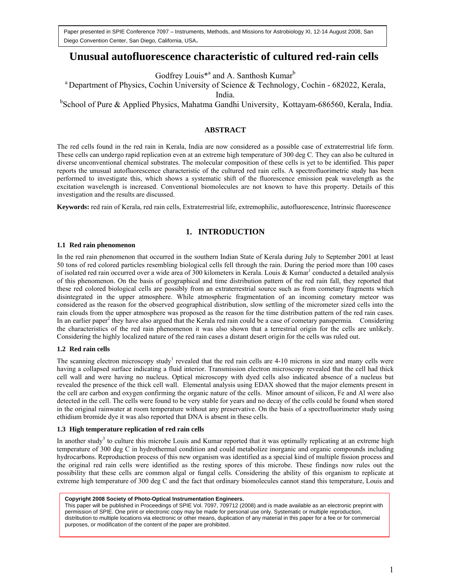Paper presented in SPIE Conference 7097 – Instruments, Methods, and Missions for Astrobiology XI, 12-14 August 2008, San Diego Convention Center, San Diego, California, USA.

# **Unusual autofluorescence characteristic of cultured red-rain cells**

Godfrey Louis<sup>\*</sup><sup>a</sup> and A. Santhosh Kumar<sup>b</sup>

<sup>a</sup> Department of Physics, Cochin University of Science & Technology, Cochin - 682022, Kerala,

India.

<sup>b</sup>School of Pure & Applied Physics, Mahatma Gandhi University, Kottayam-686560, Kerala, India.

### **ABSTRACT**

The red cells found in the red rain in Kerala, India are now considered as a possible case of extraterrestrial life form. These cells can undergo rapid replication even at an extreme high temperature of 300 deg C. They can also be cultured in diverse unconventional chemical substrates. The molecular composition of these cells is yet to be identified. This paper reports the unusual autofluorescence characteristic of the cultured red rain cells. A spectrofluorimetric study has been performed to investigate this, which shows a systematic shift of the fluorescence emission peak wavelength as the excitation wavelength is increased. Conventional biomolecules are not known to have this property. Details of this investigation and the results are discussed.

**Keywords:** red rain of Kerala, red rain cells, Extraterrestrial life, extremophilic, autofluorescence, Intrinsic fluorescence

# **1. INTRODUCTION**

#### **1.1 Red rain phenomenon**

In the red rain phenomenon that occurred in the southern Indian State of Kerala during July to September 2001 at least 50 tons of red colored particles resembling biological cells fell through the rain. During the period more than 100 cases of isolated red rain occurred over a wide area of 300 kilometers in Kerala. Louis & Kumar<sup>1</sup> conducted a detailed analysis of this phenomenon. On the basis of geographical and time distribution pattern of the red rain fall, they reported that these red colored biological cells are possibly from an extraterrestrial source such as from cometary fragments which disintegrated in the upper atmosphere. While atmospheric fragmentation of an incoming cometary meteor was considered as the reason for the observed geographical distribution, slow settling of the micrometer sized cells into the rain clouds from the upper atmosphere was proposed as the reason for the time distribution pattern of the red rain cases. In an earlier paper<sup>2</sup> they have also argued that the Kerala red rain could be a case of cometary panspermia. Considering the characteristics of the red rain phenomenon it was also shown that a terrestrial origin for the cells are unlikely. Considering the highly localized nature of the red rain cases a distant desert origin for the cells was ruled out.

### **1.2 Red rain cells**

The scanning electron microscopy study<sup>1</sup> revealed that the red rain cells are  $4\n-10$  microns in size and many cells were having a collapsed surface indicating a fluid interior. Transmission electron microscopy revealed that the cell had thick cell wall and were having no nucleus. Optical microscopy with dyed cells also indicated absence of a nucleus but revealed the presence of the thick cell wall. Elemental analysis using EDAX showed that the major elements present in the cell are carbon and oxygen confirming the organic nature of the cells. Minor amount of silicon, Fe and Al were also detected in the cell. The cells were found to be very stable for years and no decay of the cells could be found when stored in the original rainwater at room temperature without any preservative. On the basis of a spectrofluorimeter study using ethidium bromide dye it was also reported that DNA is absent in these cells.

#### **1.3 High temperature replication of red rain cells**

In another study<sup>3</sup> to culture this microbe Louis and Kumar reported that it was optimally replicating at an extreme high temperature of 300 deg C in hydrothermal condition and could metabolize inorganic and organic compounds including hydrocarbons. Reproduction process of this new organism was identified as a special kind of multiple fission process and the original red rain cells were identified as the resting spores of this microbe. These findings now rules out the possibility that these cells are common algal or fungal cells. Considering the ability of this organism to replicate at extreme high temperature of 300 deg C and the fact that ordinary biomolecules cannot stand this temperature, Louis and

#### **Copyright 2008 Society of Photo-Optical Instrumentation Engineers.**

This paper will be published in Proceedings of SPIE Vol. 7097, 709712 (2008) and is made available as an electronic preprint with permission of SPIE. One print or electronic copy may be made for personal use only. Systematic or multiple reproduction, distribution to multiple locations via electronic or other means, duplication of any material in this paper for a fee or for commercial purposes, or modification of the content of the paper are prohibited.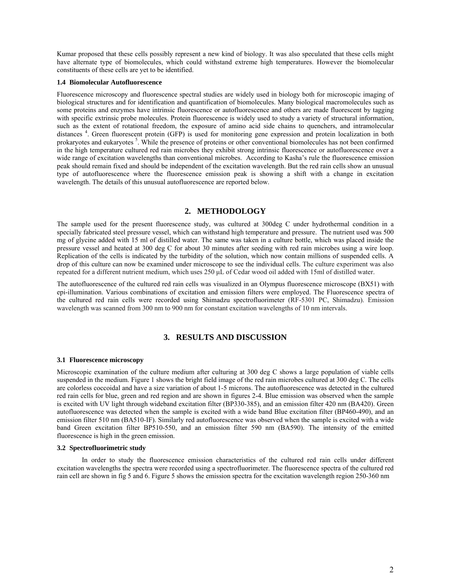Kumar proposed that these cells possibly represent a new kind of biology. It was also speculated that these cells might have alternate type of biomolecules, which could withstand extreme high temperatures. However the biomolecular constituents of these cells are yet to be identified.

#### **1.4 Biomolecular Autofluorescence**

Fluorescence microscopy and fluorescence spectral studies are widely used in biology both for microscopic imaging of biological structures and for identification and quantification of biomolecules. Many biological macromolecules such as some proteins and enzymes have intrinsic fluorescence or autofluorescence and others are made fluorescent by tagging with specific extrinsic probe molecules. Protein fluorescence is widely used to study a variety of structural information, such as the extent of rotational freedom, the exposure of amino acid side chains to quenchers, and intramolecular distances<sup>4</sup>. Green fluorescent protein (GFP) is used for monitoring gene expression and protein localization in both prokaryotes and eukaryotes<sup>5</sup>. While the presence of proteins or other conventional biomolecules has not been confirmed in the high temperature cultured red rain microbes they exhibit strong intrinsic fluorescence or autofluorescence over a wide range of excitation wavelengths than conventional microbes. According to Kasha's rule the fluorescence emission peak should remain fixed and should be independent of the excitation wavelength. But the red rain cells show an unusual type of autofluorescence where the fluorescence emission peak is showing a shift with a change in excitation wavelength. The details of this unusual autofluorescence are reported below.

# **2. METHODOLOGY**

The sample used for the present fluorescence study, was cultured at 300deg C under hydrothermal condition in a specially fabricated steel pressure vessel, which can withstand high temperature and pressure. The nutrient used was 500 mg of glycine added with 15 ml of distilled water. The same was taken in a culture bottle, which was placed inside the pressure vessel and heated at 300 deg C for about 30 minutes after seeding with red rain microbes using a wire loop. Replication of the cells is indicated by the turbidity of the solution, which now contain millions of suspended cells. A drop of this culture can now be examined under microscope to see the individual cells. The culture experiment was also repeated for a different nutrient medium, which uses 250 μL of Cedar wood oil added with 15ml of distilled water.

The autofluorescence of the cultured red rain cells was visualized in an Olympus fluorescence microscope (BX51) with epi-illumination. Various combinations of excitation and emission filters were employed. The Fluorescence spectra of the cultured red rain cells were recorded using Shimadzu spectrofluorimeter (RF-5301 PC, Shimadzu). Emission wavelength was scanned from 300 nm to 900 nm for constant excitation wavelengths of 10 nm intervals.

# **3. RESULTS AND DISCUSSION**

#### **3.1 Fluorescence microscopy**

Microscopic examination of the culture medium after culturing at 300 deg C shows a large population of viable cells suspended in the medium. Figure 1 shows the bright field image of the red rain microbes cultured at 300 deg C. The cells are colorless coccoidal and have a size variation of about 1-5 microns. The autofluorescence was detected in the cultured red rain cells for blue, green and red region and are shown in figures 2-4. Blue emission was observed when the sample is excited with UV light through wideband excitation filter (BP330-385), and an emission filter 420 nm (BA420). Green autofluorescence was detected when the sample is excited with a wide band Blue excitation filter (BP460-490), and an emission filter 510 nm (BA510-IF). Similarly red autofluorescence was observed when the sample is excited with a wide band Green excitation filter BP510-550, and an emission filter 590 nm (BA590). The intensity of the emitted fluorescence is high in the green emission.

#### **3.2 Spectrofluorimetric study**

 In order to study the fluorescence emission characteristics of the cultured red rain cells under different excitation wavelengths the spectra were recorded using a spectrofluorimeter. The fluorescence spectra of the cultured red rain cell are shown in fig 5 and 6. Figure 5 shows the emission spectra for the excitation wavelength region 250-360 nm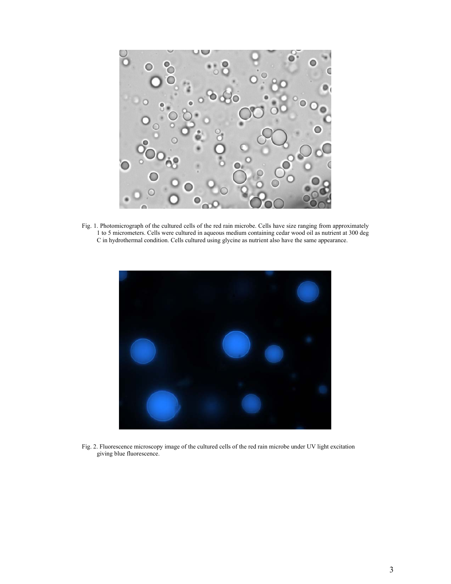

Fig. 1. Photomicrograph of the cultured cells of the red rain microbe. Cells have size ranging from approximately 1 to 5 micrometers. Cells were cultured in aqueous medium containing cedar wood oil as nutrient at 300 deg C in hydrothermal condition. Cells cultured using glycine as nutrient also have the same appearance.



Fig. 2. Fluorescence microscopy image of the cultured cells of the red rain microbe under UV light excitation giving blue fluorescence.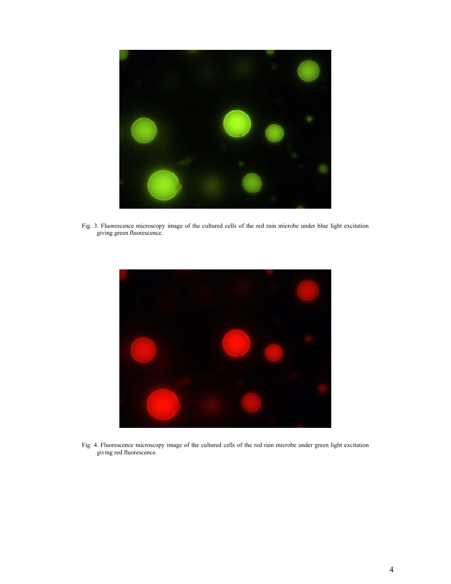

Fig. 3. Fluorescence microscopy image of the cultured cells of the red rain microbe under blue light excitation giving green fluorescence.



Fig. 4. Fluorescence microscopy image of the cultured cells of the red rain microbe under green light excitation giving red fluorescence.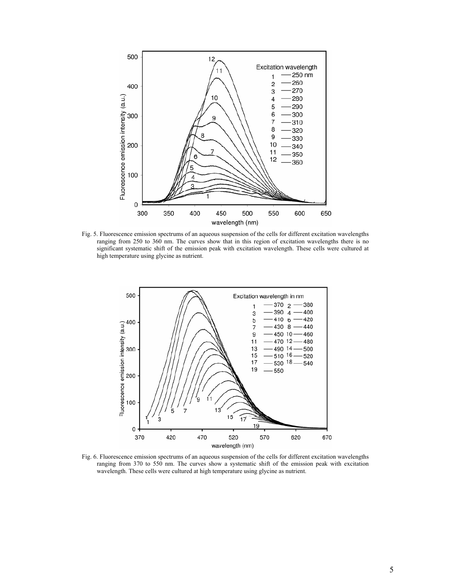

Fig. 5. Fluorescence emission spectrums of an aqueous suspension of the cells for different excitation wavelengths ranging from 250 to 360 nm. The curves show that in this region of excitation wavelengths there is no significant systematic shift of the emission peak with excitation wavelength. These cells were cultured at high temperature using glycine as nutrient.



Fig. 6. Fluorescence emission spectrums of an aqueous suspension of the cells for different excitation wavelengths ranging from 370 to 550 nm. The curves show a systematic shift of the emission peak with excitation wavelength. These cells were cultured at high temperature using glycine as nutrient.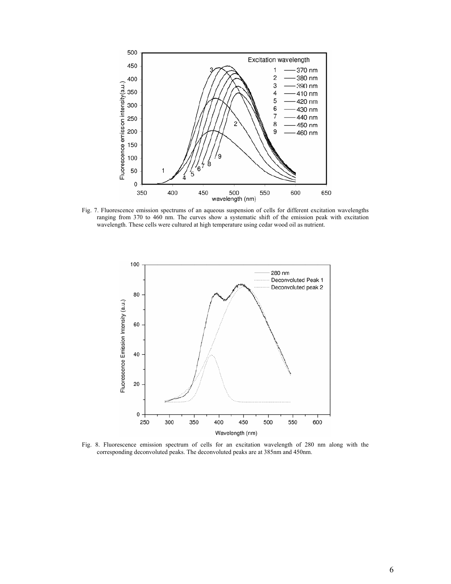

Fig. 7. Fluorescence emission spectrums of an aqueous suspension of cells for different excitation wavelengths ranging from 370 to 460 nm. The curves show a systematic shift of the emission peak with excitation wavelength. These cells were cultured at high temperature using cedar wood oil as nutrient.



Fig. 8. Fluorescence emission spectrum of cells for an excitation wavelength of 280 nm along with the corresponding deconvoluted peaks. The deconvoluted peaks are at 385nm and 450nm.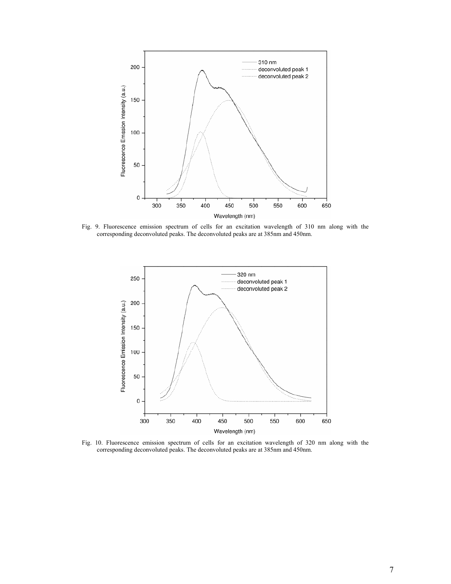

Fig. 9. Fluorescence emission spectrum of cells for an excitation wavelength of 310 nm along with the corresponding deconvoluted peaks. The deconvoluted peaks are at 385nm and 450nm.



Fig. 10. Fluorescence emission spectrum of cells for an excitation wavelength of 320 nm along with the corresponding deconvoluted peaks. The deconvoluted peaks are at 385nm and 450nm.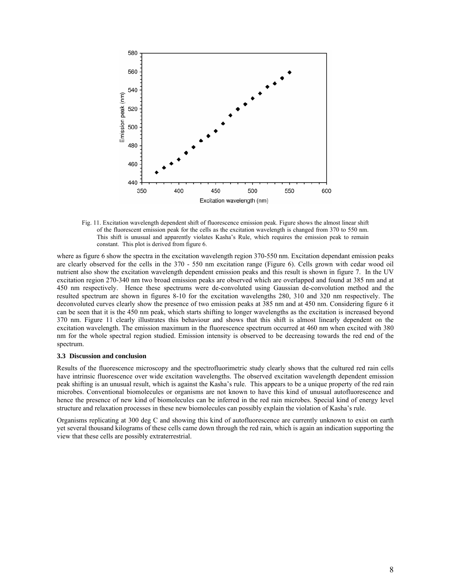

Fig. 11. Excitation wavelength dependent shift of fluorescence emission peak. Figure shows the almost linear shift of the fluorescent emission peak for the cells as the excitation wavelength is changed from 370 to 550 nm. This shift is unusual and apparently violates Kasha's Rule, which requires the emission peak to remain constant. This plot is derived from figure 6.

where as figure 6 show the spectra in the excitation wavelength region 370-550 nm. Excitation dependant emission peaks are clearly observed for the cells in the 370 - 550 nm excitation range (Figure 6). Cells grown with cedar wood oil nutrient also show the excitation wavelength dependent emission peaks and this result is shown in figure 7. In the UV excitation region 270-340 nm two broad emission peaks are observed which are overlapped and found at 385 nm and at 450 nm respectively. Hence these spectrums were de-convoluted using Gaussian de-convolution method and the resulted spectrum are shown in figures 8-10 for the excitation wavelengths 280, 310 and 320 nm respectively. The deconvoluted curves clearly show the presence of two emission peaks at 385 nm and at 450 nm. Considering figure 6 it can be seen that it is the 450 nm peak, which starts shifting to longer wavelengths as the excitation is increased beyond 370 nm. Figure 11 clearly illustrates this behaviour and shows that this shift is almost linearly dependent on the excitation wavelength. The emission maximum in the fluorescence spectrum occurred at 460 nm when excited with 380 nm for the whole spectral region studied. Emission intensity is observed to be decreasing towards the red end of the spectrum.

#### **3.3 Discussion and conclusion**

Results of the fluorescence microscopy and the spectrofluorimetric study clearly shows that the cultured red rain cells have intrinsic fluorescence over wide excitation wavelengths. The observed excitation wavelength dependent emission peak shifting is an unusual result, which is against the Kasha's rule. This appears to be a unique property of the red rain microbes. Conventional biomolecules or organisms are not known to have this kind of unusual autofluorescence and hence the presence of new kind of biomolecules can be inferred in the red rain microbes. Special kind of energy level structure and relaxation processes in these new biomolecules can possibly explain the violation of Kasha's rule.

Organisms replicating at 300 deg C and showing this kind of autofluorescence are currently unknown to exist on earth yet several thousand kilograms of these cells came down through the red rain, which is again an indication supporting the view that these cells are possibly extraterrestrial.